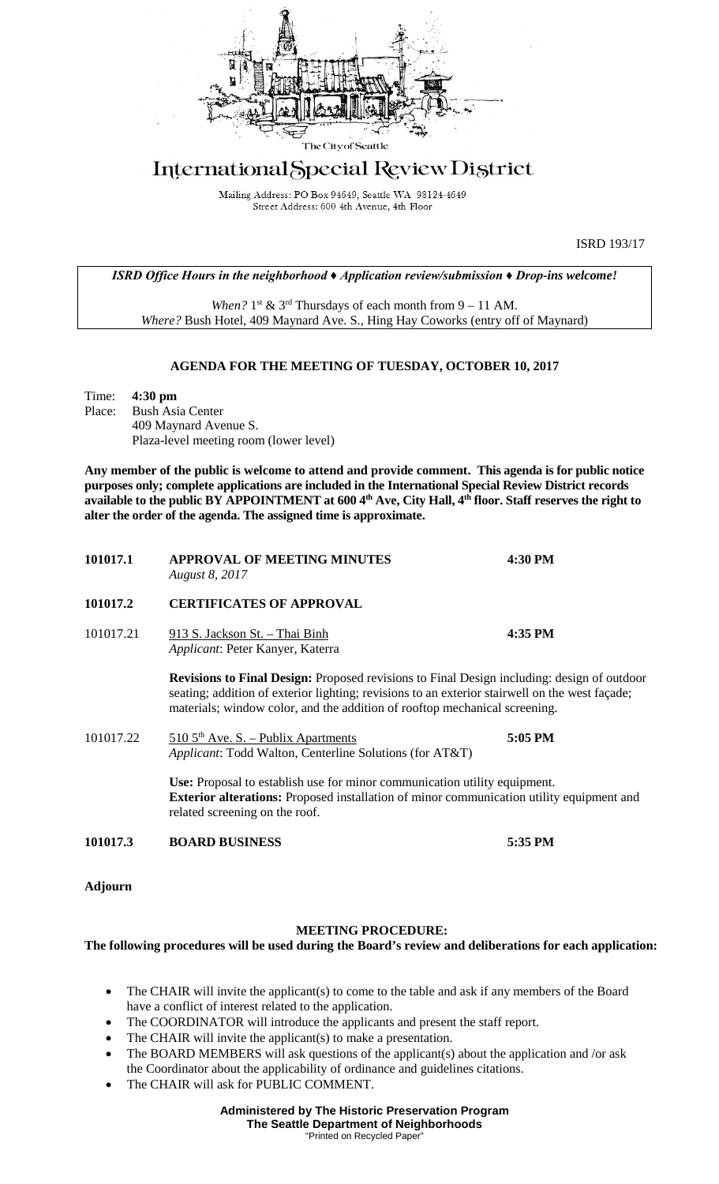

## International Special Review District

Mailing Address: PO Box 94649, Seattle WA 98124-4649 Street Address: 600 4th Avenue, 4th Floor

ISRD 193/17

*ISRD Office Hours in the neighborhood*  $\triangle$  *Application review/submission*  $\triangle$  *Drop-ins welcome!* 

*When?*  $1^{st}$  &  $3^{rd}$  Thursdays of each month from  $9 - 11$  AM. *Where?* Bush Hotel, 409 Maynard Ave. S., Hing Hay Coworks (entry off of Maynard)

## **AGENDA FOR THE MEETING OF TUESDAY, OCTOBER 10, 2017**

Time: **4:30 pm Bush Asia Center** 409 Maynard Avenue S. Plaza-level meeting room (lower level)

**Any member of the public is welcome to attend and provide comment. This agenda is for public notice purposes only; complete applications are included in the International Special Review District records available to the public BY APPOINTMENT at 600 4th Ave, City Hall, 4th floor. Staff reserves the right to alter the order of the agenda. The assigned time is approximate.** 

| 101017.1  | <b>APPROVAL OF MEETING MINUTES</b><br>August 8, 2017                                                                                                                                                                                                                              | 4:30 PM |
|-----------|-----------------------------------------------------------------------------------------------------------------------------------------------------------------------------------------------------------------------------------------------------------------------------------|---------|
| 101017.2  | <b>CERTIFICATES OF APPROVAL</b>                                                                                                                                                                                                                                                   |         |
| 101017.21 | 913 S. Jackson St. - Thai Binh<br>Applicant: Peter Kanyer, Katerra                                                                                                                                                                                                                | 4:35 PM |
|           | <b>Revisions to Final Design:</b> Proposed revisions to Final Design including: design of outdoor<br>seating; addition of exterior lighting; revisions to an exterior stairwell on the west façade;<br>materials; window color, and the addition of rooftop mechanical screening. |         |
| 101017.22 | $510\,5^{\text{th}}$ Ave. S. – Publix Apartments<br>Applicant: Todd Walton, Centerline Solutions (for AT&T)                                                                                                                                                                       | 5:05 PM |
|           | Use: Proposal to establish use for minor communication utility equipment.<br>Exterior alterations: Proposed installation of minor communication utility equipment and<br>related screening on the roof.                                                                           |         |
| 101017.3  | <b>BOARD BUSINESS</b>                                                                                                                                                                                                                                                             | 5:35 PM |
|           |                                                                                                                                                                                                                                                                                   |         |

**Adjourn**

## **MEETING PROCEDURE:**

**The following procedures will be used during the Board's review and deliberations for each application:** 

- The CHAIR will invite the applicant(s) to come to the table and ask if any members of the Board have a conflict of interest related to the application.
- The COORDINATOR will introduce the applicants and present the staff report.
- The CHAIR will invite the applicant(s) to make a presentation.
- The BOARD MEMBERS will ask questions of the applicant(s) about the application and /or ask the Coordinator about the applicability of ordinance and guidelines citations.
- The CHAIR will ask for PUBLIC COMMENT.

"Printed on Recycled Paper"